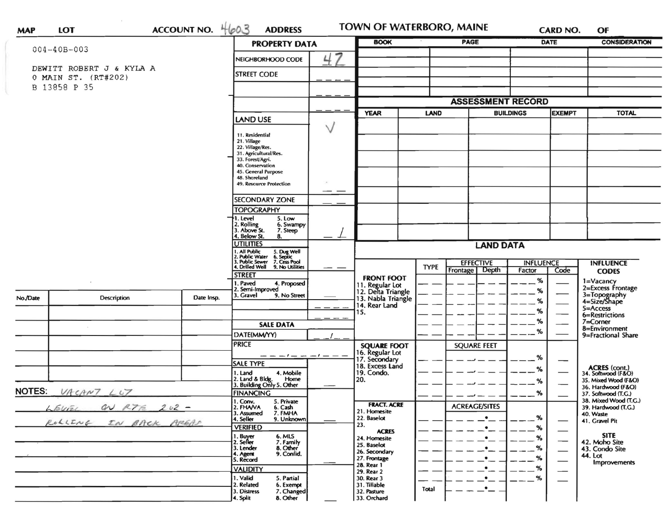| $004 - 40B - 003$        |                                                                                        | <b>PROPERTY DATA</b>                              |                                                                                                                                                                                                                                                                                                                                                                                                                                                                                                                                                                                                                                                                                                                                                   | <b>BOOK</b>                |                                                                                                                                                                                                                         |                            |                               | <b>DATE</b>                                                                               | <b>CONSIDERATION</b>                                          |
|--------------------------|----------------------------------------------------------------------------------------|---------------------------------------------------|---------------------------------------------------------------------------------------------------------------------------------------------------------------------------------------------------------------------------------------------------------------------------------------------------------------------------------------------------------------------------------------------------------------------------------------------------------------------------------------------------------------------------------------------------------------------------------------------------------------------------------------------------------------------------------------------------------------------------------------------------|----------------------------|-------------------------------------------------------------------------------------------------------------------------------------------------------------------------------------------------------------------------|----------------------------|-------------------------------|-------------------------------------------------------------------------------------------|---------------------------------------------------------------|
|                          |                                                                                        |                                                   |                                                                                                                                                                                                                                                                                                                                                                                                                                                                                                                                                                                                                                                                                                                                                   |                            |                                                                                                                                                                                                                         |                            |                               |                                                                                           |                                                               |
|                          |                                                                                        | NEIGHBORHOOD CODE                                 |                                                                                                                                                                                                                                                                                                                                                                                                                                                                                                                                                                                                                                                                                                                                                   |                            |                                                                                                                                                                                                                         |                            |                               |                                                                                           |                                                               |
|                          |                                                                                        | <b>STREET CODE</b>                                |                                                                                                                                                                                                                                                                                                                                                                                                                                                                                                                                                                                                                                                                                                                                                   |                            |                                                                                                                                                                                                                         |                            |                               |                                                                                           |                                                               |
|                          |                                                                                        |                                                   |                                                                                                                                                                                                                                                                                                                                                                                                                                                                                                                                                                                                                                                                                                                                                   |                            |                                                                                                                                                                                                                         |                            |                               |                                                                                           |                                                               |
|                          |                                                                                        |                                                   |                                                                                                                                                                                                                                                                                                                                                                                                                                                                                                                                                                                                                                                                                                                                                   |                            |                                                                                                                                                                                                                         |                            |                               |                                                                                           |                                                               |
|                          |                                                                                        |                                                   |                                                                                                                                                                                                                                                                                                                                                                                                                                                                                                                                                                                                                                                                                                                                                   |                            |                                                                                                                                                                                                                         |                            |                               | <b>TOTAL</b>                                                                              |                                                               |
|                          |                                                                                        |                                                   |                                                                                                                                                                                                                                                                                                                                                                                                                                                                                                                                                                                                                                                                                                                                                   |                            |                                                                                                                                                                                                                         |                            |                               |                                                                                           |                                                               |
|                          |                                                                                        |                                                   |                                                                                                                                                                                                                                                                                                                                                                                                                                                                                                                                                                                                                                                                                                                                                   |                            |                                                                                                                                                                                                                         |                            |                               |                                                                                           |                                                               |
|                          |                                                                                        | 21. Village                                       |                                                                                                                                                                                                                                                                                                                                                                                                                                                                                                                                                                                                                                                                                                                                                   |                            |                                                                                                                                                                                                                         |                            |                               |                                                                                           |                                                               |
|                          |                                                                                        |                                                   |                                                                                                                                                                                                                                                                                                                                                                                                                                                                                                                                                                                                                                                                                                                                                   |                            |                                                                                                                                                                                                                         |                            |                               |                                                                                           |                                                               |
|                          |                                                                                        | 33. Forest/Agri.                                  |                                                                                                                                                                                                                                                                                                                                                                                                                                                                                                                                                                                                                                                                                                                                                   |                            |                                                                                                                                                                                                                         |                            |                               |                                                                                           |                                                               |
|                          |                                                                                        |                                                   |                                                                                                                                                                                                                                                                                                                                                                                                                                                                                                                                                                                                                                                                                                                                                   |                            |                                                                                                                                                                                                                         |                            |                               |                                                                                           |                                                               |
|                          |                                                                                        | 48. Shoreland                                     |                                                                                                                                                                                                                                                                                                                                                                                                                                                                                                                                                                                                                                                                                                                                                   |                            |                                                                                                                                                                                                                         |                            |                               |                                                                                           |                                                               |
|                          |                                                                                        |                                                   |                                                                                                                                                                                                                                                                                                                                                                                                                                                                                                                                                                                                                                                                                                                                                   |                            |                                                                                                                                                                                                                         |                            |                               |                                                                                           |                                                               |
|                          |                                                                                        | <b>SECONDARY ZONE</b>                             |                                                                                                                                                                                                                                                                                                                                                                                                                                                                                                                                                                                                                                                                                                                                                   |                            |                                                                                                                                                                                                                         |                            |                               |                                                                                           |                                                               |
|                          |                                                                                        | <b>TOPOGRAPHY</b>                                 |                                                                                                                                                                                                                                                                                                                                                                                                                                                                                                                                                                                                                                                                                                                                                   |                            |                                                                                                                                                                                                                         |                            |                               |                                                                                           |                                                               |
|                          |                                                                                        |                                                   |                                                                                                                                                                                                                                                                                                                                                                                                                                                                                                                                                                                                                                                                                                                                                   |                            |                                                                                                                                                                                                                         |                            |                               |                                                                                           |                                                               |
|                          |                                                                                        | 7. Steep                                          |                                                                                                                                                                                                                                                                                                                                                                                                                                                                                                                                                                                                                                                                                                                                                   |                            |                                                                                                                                                                                                                         |                            |                               |                                                                                           |                                                               |
|                          |                                                                                        |                                                   |                                                                                                                                                                                                                                                                                                                                                                                                                                                                                                                                                                                                                                                                                                                                                   |                            |                                                                                                                                                                                                                         |                            |                               |                                                                                           |                                                               |
|                          |                                                                                        |                                                   |                                                                                                                                                                                                                                                                                                                                                                                                                                                                                                                                                                                                                                                                                                                                                   |                            |                                                                                                                                                                                                                         |                            |                               |                                                                                           |                                                               |
|                          |                                                                                        |                                                   |                                                                                                                                                                                                                                                                                                                                                                                                                                                                                                                                                                                                                                                                                                                                                   |                            |                                                                                                                                                                                                                         |                            |                               |                                                                                           | <b>INFLUENCE</b>                                              |
|                          |                                                                                        | 9. No Utilities                                   |                                                                                                                                                                                                                                                                                                                                                                                                                                                                                                                                                                                                                                                                                                                                                   |                            |                                                                                                                                                                                                                         | <b>Depth</b><br>Frontage   | Factor                        | Code                                                                                      | <b>CODES</b>                                                  |
|                          |                                                                                        |                                                   |                                                                                                                                                                                                                                                                                                                                                                                                                                                                                                                                                                                                                                                                                                                                                   | <b>FRONT FOOT</b>          |                                                                                                                                                                                                                         |                            |                               |                                                                                           | 1=Vacancy                                                     |
|                          |                                                                                        | 2. Semi-Improved                                  |                                                                                                                                                                                                                                                                                                                                                                                                                                                                                                                                                                                                                                                                                                                                                   |                            |                                                                                                                                                                                                                         |                            |                               |                                                                                           | 2=Excess Frontage                                             |
| Description              |                                                                                        |                                                   |                                                                                                                                                                                                                                                                                                                                                                                                                                                                                                                                                                                                                                                                                                                                                   | 13. Nabla Triangle         |                                                                                                                                                                                                                         |                            |                               |                                                                                           | 3=Topography<br>4=Size/Shape                                  |
|                          |                                                                                        |                                                   |                                                                                                                                                                                                                                                                                                                                                                                                                                                                                                                                                                                                                                                                                                                                                   |                            |                                                                                                                                                                                                                         |                            |                               |                                                                                           | $5 =$ Access                                                  |
|                          |                                                                                        |                                                   |                                                                                                                                                                                                                                                                                                                                                                                                                                                                                                                                                                                                                                                                                                                                                   |                            |                                                                                                                                                                                                                         |                            |                               |                                                                                           | 6=Restrictions                                                |
|                          |                                                                                        | <b>SALE DATA</b>                                  |                                                                                                                                                                                                                                                                                                                                                                                                                                                                                                                                                                                                                                                                                                                                                   |                            |                                                                                                                                                                                                                         |                            |                               |                                                                                           | $7 =$ Corner<br>8=Environment                                 |
|                          |                                                                                        | DATE(MM/YY)                                       |                                                                                                                                                                                                                                                                                                                                                                                                                                                                                                                                                                                                                                                                                                                                                   |                            |                                                                                                                                                                                                                         |                            |                               |                                                                                           | 9=Fractional Share                                            |
|                          |                                                                                        | <b>PRICE</b>                                      |                                                                                                                                                                                                                                                                                                                                                                                                                                                                                                                                                                                                                                                                                                                                                   | <b>SQUARE FOOT</b>         |                                                                                                                                                                                                                         | <b>SQUARE FEET</b>         |                               |                                                                                           |                                                               |
|                          |                                                                                        |                                                   | $-1-$                                                                                                                                                                                                                                                                                                                                                                                                                                                                                                                                                                                                                                                                                                                                             |                            |                                                                                                                                                                                                                         |                            | %                             |                                                                                           |                                                               |
|                          |                                                                                        |                                                   |                                                                                                                                                                                                                                                                                                                                                                                                                                                                                                                                                                                                                                                                                                                                                   |                            |                                                                                                                                                                                                                         |                            | %                             |                                                                                           | ACRES (cont.)<br>34. Softwood (F&O)                           |
|                          |                                                                                        |                                                   |                                                                                                                                                                                                                                                                                                                                                                                                                                                                                                                                                                                                                                                                                                                                                   |                            |                                                                                                                                                                                                                         |                            |                               |                                                                                           | 35. Mixed Wood (F&O)                                          |
|                          |                                                                                        |                                                   |                                                                                                                                                                                                                                                                                                                                                                                                                                                                                                                                                                                                                                                                                                                                                   |                            |                                                                                                                                                                                                                         |                            |                               |                                                                                           | 36. Hardwood (F&O)                                            |
| <b>NOTES:</b>            |                                                                                        |                                                   |                                                                                                                                                                                                                                                                                                                                                                                                                                                                                                                                                                                                                                                                                                                                                   |                            |                                                                                                                                                                                                                         |                            |                               |                                                                                           | 37. Softwood (T.G.)                                           |
|                          |                                                                                        | 6. Cash<br>2. FHAVA                               |                                                                                                                                                                                                                                                                                                                                                                                                                                                                                                                                                                                                                                                                                                                                                   | <b>FRACT. ACRE</b>         |                                                                                                                                                                                                                         | <b>ACREAGE/SITES</b>       |                               |                                                                                           | 38. Mixed Wood (T.G.)<br>39. Hardwood (T.G.)                  |
| ROLLING<br>IN BACK AREAD |                                                                                        |                                                   |                                                                                                                                                                                                                                                                                                                                                                                                                                                                                                                                                                                                                                                                                                                                                   |                            |                                                                                                                                                                                                                         | $\bullet$                  | %                             |                                                                                           | 40. Waste                                                     |
|                          |                                                                                        |                                                   |                                                                                                                                                                                                                                                                                                                                                                                                                                                                                                                                                                                                                                                                                                                                                   | 23.                        |                                                                                                                                                                                                                         | $\bullet$                  |                               |                                                                                           | 41. Gravel Pit                                                |
|                          |                                                                                        | 6. MLS                                            |                                                                                                                                                                                                                                                                                                                                                                                                                                                                                                                                                                                                                                                                                                                                                   |                            |                                                                                                                                                                                                                         |                            |                               |                                                                                           | <b>SITE</b>                                                   |
|                          |                                                                                        | 8. Other<br>3. Lender                             |                                                                                                                                                                                                                                                                                                                                                                                                                                                                                                                                                                                                                                                                                                                                                   | 25. Baselot                |                                                                                                                                                                                                                         | $\bullet$                  | %                             |                                                                                           | 42. Moho Site                                                 |
|                          |                                                                                        | 9. Confid.<br>4. Agent                            |                                                                                                                                                                                                                                                                                                                                                                                                                                                                                                                                                                                                                                                                                                                                                   | 26. Secondary              |                                                                                                                                                                                                                         |                            |                               |                                                                                           | 43. Condo Site<br>44. Lot                                     |
|                          |                                                                                        | 5. Record                                         |                                                                                                                                                                                                                                                                                                                                                                                                                                                                                                                                                                                                                                                                                                                                                   | 27. Frontage               |                                                                                                                                                                                                                         | $\bullet$                  | %                             |                                                                                           | <b>Improvements</b>                                           |
|                          |                                                                                        |                                                   |                                                                                                                                                                                                                                                                                                                                                                                                                                                                                                                                                                                                                                                                                                                                                   |                            |                                                                                                                                                                                                                         |                            |                               |                                                                                           |                                                               |
|                          |                                                                                        | <b>VALIDITY</b>                                   |                                                                                                                                                                                                                                                                                                                                                                                                                                                                                                                                                                                                                                                                                                                                                   | 28. Rear 1<br>29. Rear 2   |                                                                                                                                                                                                                         | $\cdot$                    | %                             |                                                                                           |                                                               |
|                          |                                                                                        | 1. Valid<br>5. Partial<br>2. Related<br>6. Exempt |                                                                                                                                                                                                                                                                                                                                                                                                                                                                                                                                                                                                                                                                                                                                                   | 30. Rear 3<br>31. Tillable |                                                                                                                                                                                                                         | $\bullet$                  | $\%$                          |                                                                                           |                                                               |
|                          | DEWITT ROBERT J & KYLA A<br>0 MAIN ST. (RT#202)<br>B 13858 P 35<br>VACANT LUT<br>LEurz | W RTE 202 -                                       | <b>LAND USE</b><br>11. Residential<br>22. Village/Res.<br>31. Agricultural/Res.<br>40. Conservation<br>45. General Purpose<br>49. Resource Protection<br>1. Level<br>5. Low<br>2. Rolling<br>3. Above St.<br>6. Swampy<br>4. Below St.<br>8.<br><b>UTILITIES</b><br>1. All Public<br>2. Public Water<br>3. Public Sewer<br>4. Drilled Well<br>5. Dug Well<br>6. Septic<br>7. Cess Pool<br><b>STREET</b><br>I. Paved<br>4. Proposed<br>3. Gravel<br>9. No Street<br>Date Insp.<br><b>SALE TYPE</b><br>4. Mobile<br>1. Land<br>2. Land & Bldg. Home<br>3. Building Only 5. Other<br>Home<br><b>FINANCING</b><br>1. Conv.<br>5. Private<br>7. FMHA<br>3. Assumed<br>4. Seller<br>9. Unknown<br><b>VERIFIED</b><br>1. Buyer<br>2. Seller<br>7. Family | ν                          | <b>YEAR</b><br>11. Regular Lot<br>12. Delta Triangle<br>14. Rear Land<br>15.<br>16. Regular Lot<br>17. Secondary<br>18. Excess Land<br>19. Condo.<br>20.<br>21. Homesite<br>22. Baselot<br><b>ACRES</b><br>24. Homesite | <b>LAND</b><br><b>TYPE</b> | <b>EFFECTIVE</b><br>$\bullet$ | <b>BUILDINGS</b><br><b>LAND DATA</b><br>%<br>%<br>%<br>%<br>%<br>%<br>%<br>%<br>%<br>$\%$ | <b>ASSESSMENT RECORD</b><br><b>EXEMPT</b><br><b>INFLUENCE</b> |